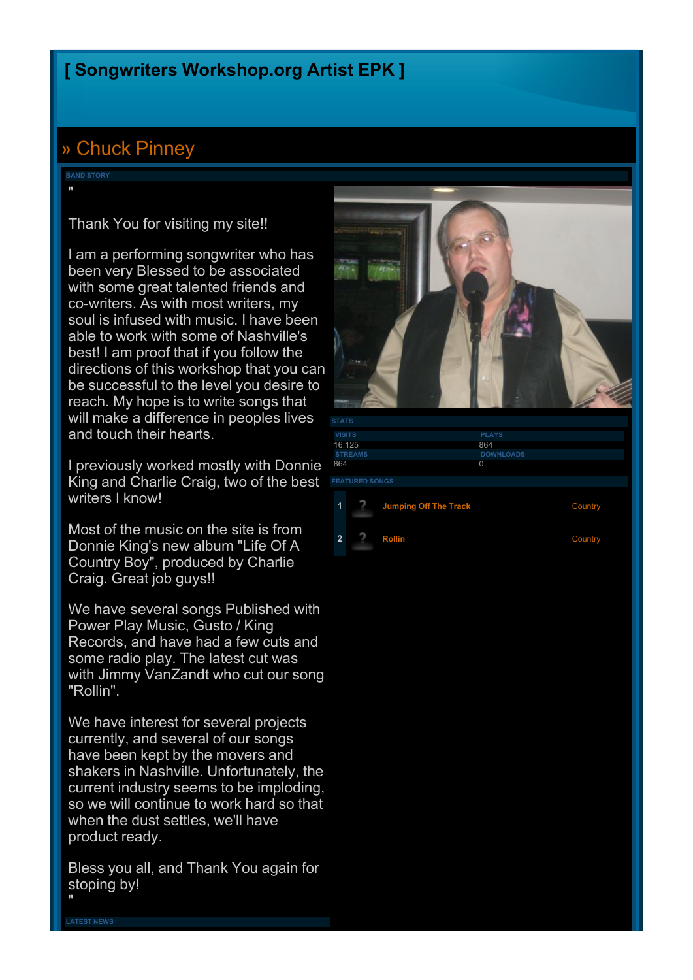## **[\[](http://www.songwritersworkshop.org/community) [Songwriters](http://www.songwritersworkshop.org/community) [Workshop.org](http://www.songwritersworkshop.org/community) [Artist](http://www.songwritersworkshop.org/community) [EPK](http://www.songwritersworkshop.org/community) [\]](http://www.songwritersworkshop.org/community)**

## [»](http://www.songwritersworkshop.org/community/Chuck_Pinney/) [Chuck](http://www.songwritersworkshop.org/community/Chuck_Pinney/) [Pinney](http://www.songwritersworkshop.org/community/Chuck_Pinney/)

**BAND STORY**

"

Thank You for visiting my site!!

I am a performing songwriter who has been very Blessed to be associated with some great talented friends and co-writers. As with most writers, my soul is infused with music. I have been able to work with some of Nashville's best! I am proof that if you follow the directions of this workshop that you can be successful to the level you desire to reach. My hope is to write songs that will make a difference in peoples lives and touch their hearts.

I previously worked mostly with Donnie King and Charlie Craig, two of the best writers I know!

Most of the music on the site is from Donnie King's new album "Life Of A Country Boy", produced by Charlie Craig. Great job guys!!

We have several songs Published with Power Play Music, Gusto / King Records, and have had a few cuts and some radio play. The latest cut was with Jimmy VanZandt who cut our song "Rollin".

We have interest for several projects currently, and several of our songs have been kept by the movers and shakers in Nashville. Unfortunately, the current industry seems to be imploding, so we will continue to work hard so that when the dust settles, we'll have product ready.

Bless you all, and Thank You again for stoping by! "